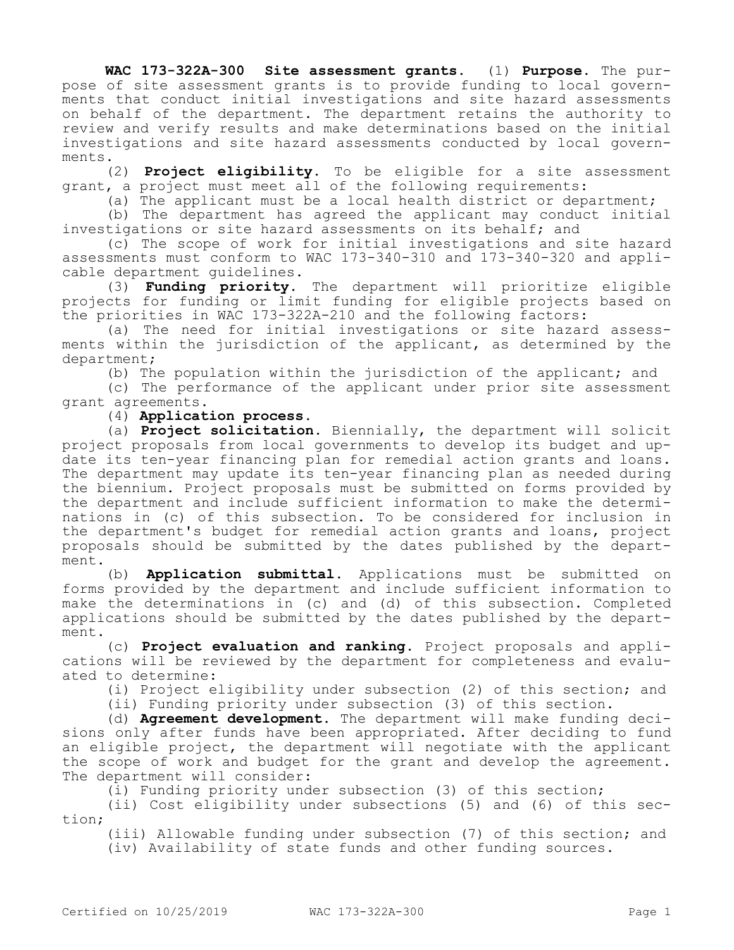**WAC 173-322A-300 Site assessment grants.** (1) **Purpose.** The purpose of site assessment grants is to provide funding to local governments that conduct initial investigations and site hazard assessments on behalf of the department. The department retains the authority to review and verify results and make determinations based on the initial investigations and site hazard assessments conducted by local governments.

(2) **Project eligibility.** To be eligible for a site assessment grant, a project must meet all of the following requirements:

(a) The applicant must be a local health district or department;

(b) The department has agreed the applicant may conduct initial investigations or site hazard assessments on its behalf; and

(c) The scope of work for initial investigations and site hazard assessments must conform to WAC 173-340-310 and 173-340-320 and applicable department guidelines.

(3) **Funding priority.** The department will prioritize eligible projects for funding or limit funding for eligible projects based on the priorities in WAC 173-322A-210 and the following factors:

(a) The need for initial investigations or site hazard assessments within the jurisdiction of the applicant, as determined by the department;

(b) The population within the jurisdiction of the applicant; and

(c) The performance of the applicant under prior site assessment grant agreements.

(4) **Application process.**

(a) **Project solicitation.** Biennially, the department will solicit project proposals from local governments to develop its budget and update its ten-year financing plan for remedial action grants and loans. The department may update its ten-year financing plan as needed during the biennium. Project proposals must be submitted on forms provided by the department and include sufficient information to make the determinations in (c) of this subsection. To be considered for inclusion in the department's budget for remedial action grants and loans, project proposals should be submitted by the dates published by the department.

(b) **Application submittal.** Applications must be submitted on forms provided by the department and include sufficient information to make the determinations in (c) and (d) of this subsection. Completed applications should be submitted by the dates published by the department.

(c) **Project evaluation and ranking.** Project proposals and applications will be reviewed by the department for completeness and evaluated to determine:

(i) Project eligibility under subsection (2) of this section; and

(ii) Funding priority under subsection (3) of this section.

(d) **Agreement development.** The department will make funding decisions only after funds have been appropriated. After deciding to fund an eligible project, the department will negotiate with the applicant the scope of work and budget for the grant and develop the agreement. The department will consider:

(i) Funding priority under subsection (3) of this section;

(ii) Cost eligibility under subsections (5) and (6) of this section;

(iii) Allowable funding under subsection (7) of this section; and (iv) Availability of state funds and other funding sources.